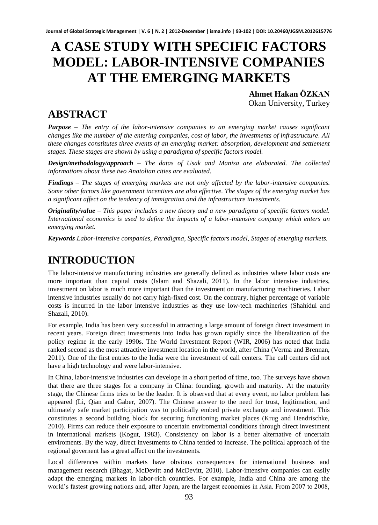# **A CASE STUDY WITH SPECIFIC FACTORS MODEL: LABOR-INTENSIVE COMPANIES AT THE EMERGING MARKETS**

**Ahmet Hakan ÖZKAN** Okan University, Turkey

## **ABSTRACT**

*Purpose – The entry of the labor-intensive companies to an emerging market causes significant changes like the number of the entering companies, cost of labor, the investments of infrastructure. All these changes constitutes three events of an emerging market: absorption, development and settlement stages. These stages are shown by using a paradigma of specific factors model.* 

*Design/methodology/approach – The datas of Usak and Manisa are elaborated. The collected informations about these two Anatolian cities are evaluated.* 

*Findings – The stages of emerging markets are not only affected by the labor-intensive companies. Some other factors like government incentives are also effective. The stages of the emerging market has a significant affect on the tendency of immigration and the infrastructure investments.* 

*Originality/value – This paper includes a new theory and a new paradigma of specific factors model. International economics is used to define the impacts of a labor-intensive company which enters an emerging market.* 

*Keywords Labor-intensive companies, Paradigma, Specific factors model, Stages of emerging markets.* 

# **INTRODUCTION**

The labor-intensive manufacturing industries are generally defined as industries where labor costs are more important than capital costs (Islam and Shazali, 2011). In the labor intensive industries, investment on labor is much more important than the investment on manufacturing machineries. Labor intensive industries usually do not carry high-fixed cost. On the contrary, higher percentage of variable costs is incurred in the labor intensive industries as they use low-tech machineries (Shahidul and Shazali, 2010).

For example, India has been very successful in attracting a large amount of foreign direct investment in recent years. Foreign direct investments into India has grown rapidly since the liberalization of the policy regime in the early 1990s. The World Investment Report (WIR, 2006) has noted that India ranked second as the most attractive investment location in the world, after China (Verma and Brennan, 2011). One of the first entries to the India were the investment of call centers. The call centers did not have a high technology and were labor-intensive.

In China, labor-intensive industries can develope in a short period of time, too. The surveys have shown that there are three stages for a company in China: founding, growth and maturity. At the maturity stage, the Chinese firms tries to be the leader. It is observed that at every event, no labor problem has appeared (Li, Qian and Gaber, 2007). The Chinese answer to the need for trust, legitimation, and ultimately safe market participation was to politically embed private exchange and investment. This constitutes a second building block for securing functioning market places (Krug and Hendrischke, 2010). Firms can reduce their exposure to uncertain enviromental conditions through direct investment in international markets (Kogut, 1983). Consistency on labor is a better alternative of uncertain enviroments. By the way, direct investments to China tended to increase. The political approach of the regional governent has a great affect on the investments.

Local differences within markets have obvious consequences for international business and management research (Bhagat, McDevitt and McDevitt, 2010). Labor-intensive companies can easily adapt the emerging markets in labor-rich countries. For example, India and China are among the world's fastest growing nations and, after Japan, are the largest economies in Asia. From 2007 to 2008,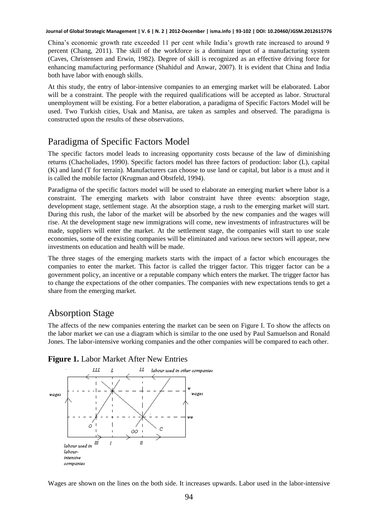China's economic growth rate exceeded 11 per cent while India's growth rate increased to around 9 percent (Chang, 2011). The skill of the workforce is a dominant input of a manufacturing system (Caves, Christensen and Erwin, 1982). Degree of skill is recognized as an effective driving force for enhancing manufacturing performance (Shahidul and Anwar, 2007). It is evident that China and India both have labor with enough skills.

At this study, the entry of labor-intensive companies to an emerging market will be elaborated. Labor will be a constraint. The people with the required qualifications will be accepted as labor. Structural unemployment will be existing. For a better elaboration, a paradigma of Specific Factors Model will be used. Two Turkish cities, Usak and Manisa, are taken as samples and observed. The paradigma is constructed upon the results of these observations.

### Paradigma of Specific Factors Model

The specific factors model leads to increasing opportunity costs because of the law of diminishing returns (Chacholiades, 1990). Specific factors model has three factors of production: labor (L), capital (K) and land (T for terrain). Manufacturers can choose to use land or capital, but labor is a must and it is called the mobile factor (Krugman and Obstfeld, 1994).

Paradigma of the specific factors model will be used to elaborate an emerging market where labor is a constraint. The emerging markets with labor constraint have three events: absorption stage, development stage, settlement stage. At the absorption stage, a rush to the emerging market will start. During this rush, the labor of the market will be absorbed by the new companies and the wages will rise. At the development stage new immigrations will come, new investments of infrastructures will be made, suppliers will enter the market. At the settlement stage, the companies will start to use scale economies, some of the existing companies will be eliminated and various new sectors will appear, new investments on education and health will be made.

The three stages of the emerging markets starts with the impact of a factor which encourages the companies to enter the market. This factor is called the trigger factor. This trigger factor can be a government policy, an incentive or a reputable company which enters the market. The trigger factor has to change the expectations of the other companies. The companies with new expectations tends to get a share from the emerging market.

### Absorption Stage

The affects of the new companies entering the market can be seen on Figure I. To show the affects on the labor market we can use a diagram which is similar to the one used by Paul Samuelson and Ronald Jones. The labor-intensive working companies and the other companies will be compared to each other.



#### **Figure 1.** Labor Market After New Entries

Wages are shown on the lines on the both side. It increases upwards. Labor used in the labor-intensive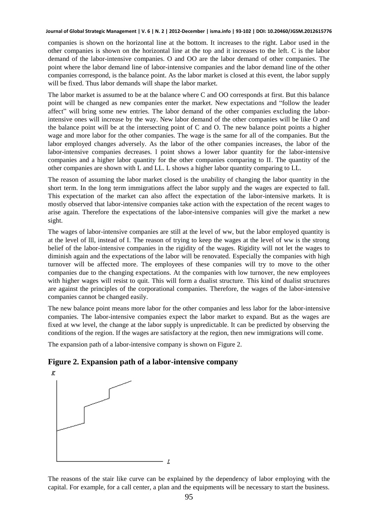companies is shown on the horizontal line at the bottom. It increases to the right. Labor used in the other companies is shown on the horizontal line at the top and it increases to the left. C is the labor demand of the labor-intensive companies. O and OO are the labor demand of other companies. The point where the labor demand line of labor-intensive companies and the labor demand line of the other companies correspond, is the balance point. As the labor market is closed at this event, the labor supply will be fixed. Thus labor demands will shape the labor market.

The labor market is assumed to be at the balance where C and OO corresponds at first. But this balance point will be changed as new companies enter the market. New expectations and "follow the leader affect" will bring some new entries. The labor demand of the other companies excluding the laborintensive ones will increase by the way. New labor demand of the other companies will be like O and the balance point will be at the intersecting point of C and O. The new balance point points a higher wage and more labor for the other companies. The wage is the same for all of the companies. But the labor employed changes adversely. As the labor of the other companies increases, the labor of the labor-intensive companies decreases. l point shows a lower labor quantity for the labor-intensive companies and a higher labor quantity for the other companies comparing to II. The quantity of the other companies are shown with L and LL. L shows a higher labor quantity comparing to LL.

The reason of assuming the labor market closed is the unability of changing the labor quantity in the short term. In the long term immigrations affect the labor supply and the wages are expected to fall. This expectation of the market can also affect the expectation of the labor-intensive markets. It is mostly observed that labor-intensive companies take action with the expectation of the recent wages to arise again. Therefore the expectations of the labor-intensive companies will give the market a new sight.

The wages of labor-intensive companies are still at the level of ww, but the labor employed quantity is at the level of lll, instead of I. The reason of trying to keep the wages at the level of ww is the strong belief of the labor-intensive companies in the rigidity of the wages. Rigidity will not let the wages to diminish again and the expectations of the labor will be renovated. Especially the companies with high turnover will be affected more. The employees of these companies will try to move to the other companies due to the changing expectations. At the companies with low turnover, the new employees with higher wages will resist to quit. This will form a dualist structure. This kind of dualist structures are against the principles of the corporational companies. Therefore, the wages of the labor-intensive companies cannot be changed easily.

The new balance point means more labor for the other companies and less labor for the labor-intensive companies. The labor-intensive companies expect the labor market to expand. But as the wages are fixed at ww level, the change at the labor supply is unpredictable. It can be predicted by observing the conditions of the region. If the wages are satisfactory at the region, then new immigrations will come.

The expansion path of a labor-intensive company is shown on Figure 2.

### **Figure 2. Expansion path of a labor-intensive company**



The reasons of the stair like curve can be explained by the dependency of labor employing with the capital. For example, for a call center, a plan and the equipments will be necessary to start the business.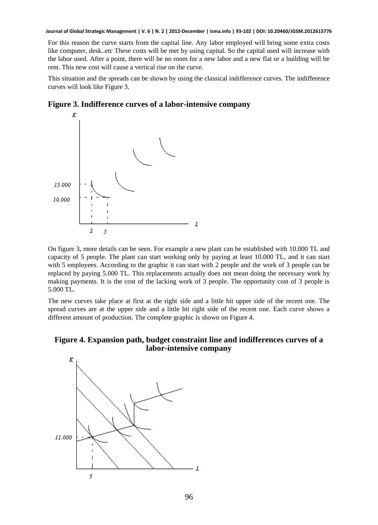For this reason the curve starts from the capital line. Any labor employed will bring some extra costs like computer, desk..etc These costs will be met by using capital. So the capital used will increase with the labor used. After a point, there will be no room for a new labor and a new flat or a building will be rent. This new cost will cause a vertical rise on the curve.

This situation and the spreads can be shown by using the classical indifference curves. The indifference curves will look like Figure 3.



### **Figure 3. Indifference curves of a labor-intensive company**

On figure 3, more details can be seen. For example a new plant can be established with 10.000 TL and capacity of 5 people. The plant can start working only by paying at least 10.000 TL, and it can start with 5 employees. According to the graphic it can start with 2 people and the work of 3 people can be replaced by paying 5.000 TL. This replacements actually does not mean doing the necessary work by making payments. It is the cost of the lacking work of 3 people. The opportunity cost of 3 people is 5.000 TL.

The new curves take place at first at the right side and a little bit upper side of the recent one. The spread curves are at the upper side and a little bit right side of the recent one. Each curve shows a different amount of production. The complete graphic is shown on Figure 4.



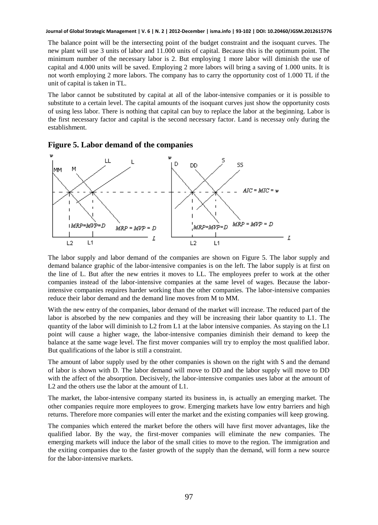The balance point will be the intersecting point of the budget constraint and the isoquant curves. The new plant will use 3 units of labor and 11.000 units of capital. Because this is the optimum point. The minimum number of the necessary labor is 2. But employing 1 more labor will diminish the use of capital and 4.000 units will be saved. Employing 2 more labors will bring a saving of 1.000 units. It is not worth employing 2 more labors. The company has to carry the opportunity cost of 1.000 TL if the unit of capital is taken in TL.

The labor cannot be substituted by capital at all of the labor-intensive companies or it is possible to substitute to a certain level. The capital amounts of the isoquant curves just show the opportunity costs of using less labor. There is nothing that capital can buy to replace the labor at the beginning. Labor is the first necessary factor and capital is the second necessary factor. Land is necessay only during the establishment.





The labor supply and labor demand of the companies are shown on Figure 5. The labor supply and demand balance graphic of the labor-intensive companies is on the left. The labor supply is at first on the line of L. But after the new entries it moves to LL. The employees prefer to work at the other companies instead of the labor-intensive companies at the same level of wages. Because the laborintensive companies requires harder working than the other companies. The labor-intensive companies reduce their labor demand and the demand line moves from M to MM.

With the new entry of the companies, labor demand of the market will increase. The reduced part of the labor is absorbed by the new companies and they will be increasing their labor quantity to L1. The quantity of the labor will diminish to L2 from L1 at the labor intensive companies. As staying on the L1 point will cause a higher wage, the labor-intensive companies diminish their demand to keep the balance at the same wage level. The first mover companies will try to employ the most qualified labor. But qualifications of the labor is still a constraint.

The amount of labor supply used by the other companies is shown on the right with S and the demand of labor is shown with D. The labor demand will move to DD and the labor supply will move to DD with the affect of the absorption. Decisively, the labor-intensive companies uses labor at the amount of L2 and the others use the labor at the amount of L1.

The market, the labor-intensive company started its business in, is actually an emerging market. The other companies require more employees to grow. Emerging markets have low entry barriers and high returns. Therefore more companies will enter the market and the existing companies will keep growing.

The companies which entered the market before the others will have first mover advantages, like the qualified labor. By the way, the first-mover companies will eliminate the new companies. The emerging markets will induce the labor of the small cities to move to the region. The immigration and the exiting companies due to the faster growth of the supply than the demand, will form a new source for the labor-intensive markets.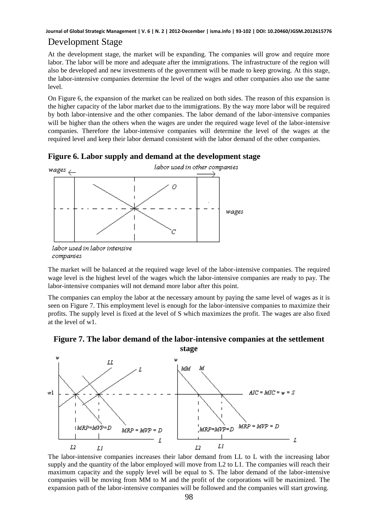### Development Stage

At the development stage, the market will be expanding. The companies will grow and require more labor. The labor will be more and adequate after the immigrations. The infrastructure of the region will also be developed and new investments of the government will be made to keep growing. At this stage, the labor-intensive companies determine the level of the wages and other companies also use the same level.

On Figure 6, the expansion of the market can be realized on both sides. The reason of this expansion is the higher capacity of the labor market due to the immigrations. By the way more labor will be required by both labor-intensive and the other companies. The labor demand of the labor-intensive companies will be higher than the others when the wages are under the required wage level of the labor-intensive companies. Therefore the labor-intensive companies will determine the level of the wages at the required level and keep their labor demand consistent with the labor demand of the other companies.





The market will be balanced at the required wage level of the labor-intensive companies. The required wage level is the highest level of the wages which the labor-intensive companies are ready to pay. The labor-intensive companies will not demand more labor after this point.

The companies can employ the labor at the necessary amount by paying the same level of wages as it is seen on Figure 7. This employment level is enough for the labor-intensive companies to maximize their profits. The supply level is fixed at the level of S which maximizes the profit. The wages are also fixed at the level of w1.



**Figure 7. The labor demand of the labor-intensive companies at the settlement** 

The labor-intensive companies increases their labor demand from LL to L with the increasing labor supply and the quantity of the labor employed will move from L2 to L1. The companies will reach their maximum capacity and the supply level will be equal to S. The labor demand of the labor-intensive companies will be moving from MM to M and the profit of the corporations will be maximized. The expansion path of the labor-intensive companies will be followed and the companies will start growing.

labor used in labor intensive companies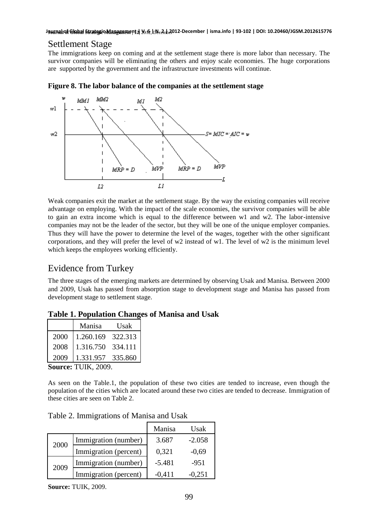### Settlement Stage

The immigrations keep on coming and at the settlement stage there is more labor than necessary. The survivor companies will be eliminating the others and enjoy scale economies. The huge corporations are supported by the government and the infrastructure investments will continue.



**Figure 8. The labor balance of the companies at the settlement stage** 

Weak companies exit the market at the settlement stage. By the way the existing companies will receive advantage on employing. With the impact of the scale economies, the survivor companies will be able to gain an extra income which is equal to the difference between w1 and w2. The labor-intensive companies may not be the leader of the sector, but they will be one of the unique employer companies. Thus they will have the power to determine the level of the wages, together with the other significant corporations, and they will prefer the level of w2 instead of w1. The level of w2 is the minimum level which keeps the employees working efficiently.

### Evidence from Turkey

The three stages of the emerging markets are determined by observing Usak and Manisa. Between 2000 and 2009, Usak has passed from absorption stage to development stage and Manisa has passed from development stage to settlement stage.

#### **Table 1. Population Changes of Manisa and Usak**

|      | Manisa            | Usak |
|------|-------------------|------|
| 2000 | 1.260.169 322.313 |      |
| 2008 | 1.316.750 334.111 |      |
| 2009 | 1.331.957 335.860 |      |

**Source:** TUIK, 2009.

As seen on the Table.1, the population of these two cities are tended to increase, even though the population of the cities which are located around these two cities are tended to decrease. Immigration of these cities are seen on Table 2.

| Table 2. Immigrations of Manisa and Usak |  |
|------------------------------------------|--|
|                                          |  |

|      |                       | Manisa   | Usak     |
|------|-----------------------|----------|----------|
| 2000 | Immigration (number)  | 3.687    | $-2.058$ |
|      | Immigration (percent) | 0,321    | $-0.69$  |
| 2009 | Immigration (number)  | $-5.481$ | $-951$   |
|      | Immigration (percent) | -0.411   | $-0.251$ |

**Source:** TUIK, 2009.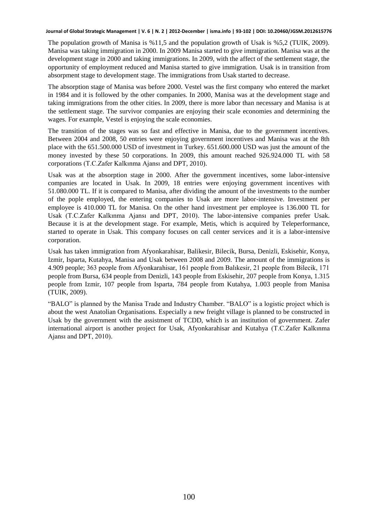The population growth of Manisa is %11,5 and the population growth of Usak is %5,2 (TUIK, 2009). Manisa was taking immigration in 2000. In 2009 Manisa started to give immigration. Manisa was at the development stage in 2000 and taking immigrations. In 2009, with the affect of the settlement stage, the opportunity of employment reduced and Manisa started to give immigration. Usak is in transition from absorpment stage to development stage. The immigrations from Usak started to decrease.

The absorption stage of Manisa was before 2000. Vestel was the first company who entered the market in 1984 and it is followed by the other companies. In 2000, Manisa was at the development stage and taking immigrations from the other cities. In 2009, there is more labor than necessary and Manisa is at the settlement stage. The survivor companies are enjoying their scale economies and determining the wages. For example, Vestel is enjoying the scale economies.

The transition of the stages was so fast and effective in Manisa, due to the government incentives. Between 2004 and 2008, 50 entries were enjoying government incentives and Manisa was at the 8th place with the 651.500.000 USD of investment in Turkey. 651.600.000 USD was just the amount of the money invested by these 50 corporations. In 2009, this amount reached 926.924.000 TL with 58 corporations (T.C.Zafer Kalkınma Ajansı and DPT, 2010).

Usak was at the absorption stage in 2000. After the government incentives, some labor-intensive companies are located in Usak. In 2009, 18 entries were enjoying government incentives with 51.080.000 TL. If it is compared to Manisa, after dividing the amount of the investments to the number of the pople employed, the entering companies to Usak are more labor-intensive. Investment per employee is 410.000 TL for Manisa. On the other hand investment per employee is 136.000 TL for Usak (T.C.Zafer Kalkınma Ajansı and DPT, 2010). The labor-intensive companies prefer Usak. Because it is at the development stage. For example, Metis, which is acquired by Teleperformance, started to operate in Usak. This company focuses on call center services and it is a labor-intensive corporation.

Usak has taken immigration from Afyonkarahisar, Balikesir, Bilecik, Bursa, Denizli, Eskisehir, Konya, Izmir, Isparta, Kutahya, Manisa and Usak between 2008 and 2009. The amount of the immigrations is 4.909 people; 363 people from Afyonkarahisar, 161 people from Balıkesir, 21 people from Bilecik, 171 people from Bursa, 634 people from Denizli, 143 people from Eskisehir, 207 people from Konya, 1.315 people from Izmir, 107 people from Isparta, 784 people from Kutahya, 1.003 people from Manisa (TUIK, 2009).

"BALO" is planned by the Manisa Trade and Industry Chamber. "BALO" is a logistic project which is about the west Anatolian Organisations. Especially a new freight village is planned to be constructed in Usak by the government with the assistment of TCDD, which is an institution of government. Zafer international airport is another project for Usak, Afyonkarahisar and Kutahya (T.C.Zafer Kalkınma Ajansı and DPT, 2010).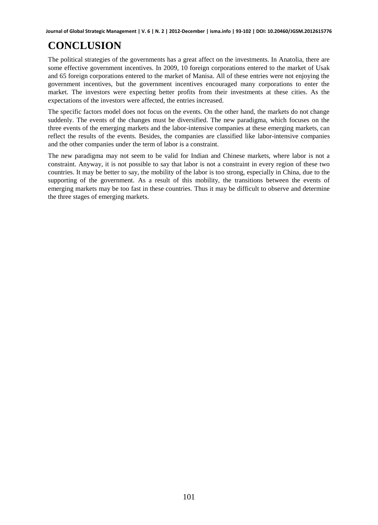# **CONCLUSION**

The political strategies of the governments has a great affect on the investments. In Anatolia, there are some effective government incentives. In 2009, 10 foreign corporations entered to the market of Usak and 65 foreign corporations entered to the market of Manisa. All of these entries were not enjoying the government incentives, but the government incentives encouraged many corporations to enter the market. The investors were expecting better profits from their investments at these cities. As the expectations of the investors were affected, the entries increased.

The specific factors model does not focus on the events. On the other hand, the markets do not change suddenly. The events of the changes must be diversified. The new paradigma, which focuses on the three events of the emerging markets and the labor-intensive companies at these emerging markets, can reflect the results of the events. Besides, the companies are classified like labor-intensive companies and the other companies under the term of labor is a constraint.

The new paradigma may not seem to be valid for Indian and Chinese markets, where labor is not a constraint. Anyway, it is not possible to say that labor is not a constraint in every region of these two countries. It may be better to say, the mobility of the labor is too strong, especially in China, due to the supporting of the government. As a result of this mobility, the transitions between the events of emerging markets may be too fast in these countries. Thus it may be difficult to observe and determine the three stages of emerging markets.